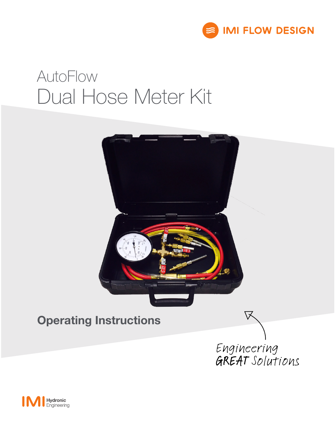

# AutoFlow Dual Hose Meter Kit



### Operating Instructions



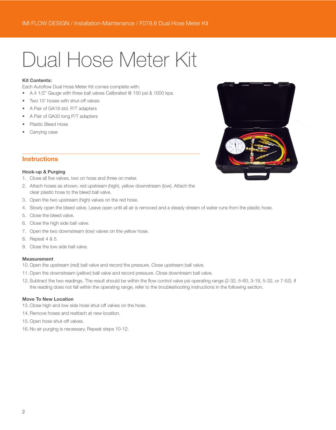## Dual Hose Meter Kit

#### Kit Contents:

Each Autoflow Dual Hose Meter Kit comes complete with:

- A 4 1/2" Gauge with three ball valves Calibrated @ 150 psi & 1000 kpa
- Two 10' hoses with shut-off valves
- A Pair of GA18 std. P/T adapters
- A Pair of GA30 long P/T adapters
- Plastic Bleed Hose
- Carrving case



#### **Instructions**

#### Hook-up & Purging

- 1. Close all five valves, two on hose and three on meter.
- 2. Attach hoses as shown, red upstream (high), yellow downstream (low). Attach the clear plastic hose to the bleed ball valve.
- 3. Open the two upstream (high) valves on the red hose.
- 4. Slowly open the bleed valve. Leave open until all air is removed and a steady stream of water runs from the plastic hose.
- 5. Close the bleed valve.
- 6. Close the high side ball valve.
- 7. Open the two downstream (low) valves on the yellow hose.
- 8. Repeat 4 & 5.
- 9. Close the low side ball valve.

#### Measurement

- 10. Open the upstream (red) ball valve and record the pressure. Close upstream ball valve.
- 11. Open the downstream (yellow) ball valve and record pressure. Close downtream ball valve.
- 12. Subtract the two readings. The result should be within the flow control valve psi operating range (2-32, 5-60, 3-18, 5-32, or 7-52). If the reading does not fall within the operating range, refer to the troubleshooting instructions in the following section.

#### Move To New Location

- 13. Close high and low side hose shut-off valves on the hose.
- 14. Remove hoses and reattach at new location.
- 15. Open hose shut-off valves.
- 16. No air purging is necessary. Repeat steps 10-12.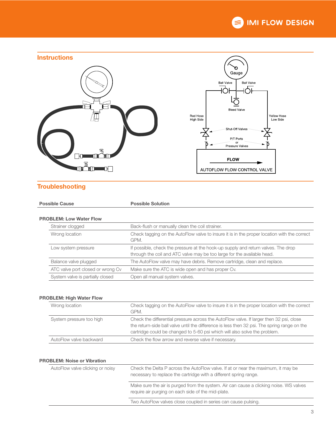



#### **Troubleshooting**

| <b>Possible Cause</b> |                                   | <b>Possible Solution</b>                                                                                                                                     |  |  |
|-----------------------|-----------------------------------|--------------------------------------------------------------------------------------------------------------------------------------------------------------|--|--|
|                       |                                   |                                                                                                                                                              |  |  |
|                       | <b>PROBLEM: Low Water Flow</b>    |                                                                                                                                                              |  |  |
|                       | Strainer clogged                  | Back-flush or manually clean the coil strainer.                                                                                                              |  |  |
|                       | Wrong location                    | Check tagging on the AutoFlow valve to insure it is in the proper location with the correct<br>GPM.                                                          |  |  |
|                       | Low system pressure               | If possible, check the pressure at the hook-up supply and return valves. The drop<br>through the coil and ATC valve may be too large for the available head. |  |  |
|                       | Balance valve plugged             | The AutoFlow valve may have debris. Remove cartridge, clean and replace.                                                                                     |  |  |
|                       | ATC valve port closed or wrong Cv | Make sure the ATC is wide open and has proper Cv.                                                                                                            |  |  |
|                       | System valve is partially closed  | Open all manual system valves.                                                                                                                               |  |  |

#### PROBLEM: High Water Flow

| Wrong location           | Check tagging on the AutoFlow valve to insure it is in the proper location with the correct<br>GPM.                                                                                                                                                                  |
|--------------------------|----------------------------------------------------------------------------------------------------------------------------------------------------------------------------------------------------------------------------------------------------------------------|
| System pressure too high | Check the differential pressure across the AutoFlow valve. If larger then 32 psi, close<br>the return-side ball valve until the difference is less then 32 psi. The spring range on the<br>cartridge could be changed to 5-60 psi which will also solve the problem. |
| AutoFlow valve backward  | Check the flow arrow and reverse valve if necessary.                                                                                                                                                                                                                 |

#### PROBLEM: Noise or Vibration

| AutoFlow valve clicking or noisy | Check the Delta P across the AutoFlow valve. If at or near the maximum, it may be<br>necessary to replace the cartridge with a different spring range. |
|----------------------------------|--------------------------------------------------------------------------------------------------------------------------------------------------------|
|                                  | Make sure the air is purged from the system. Air can cause a clicking noise. WS valves<br>require air purging on each side of the mid-plate.           |
|                                  | Two AutoFlow valves close coupled in series can cause pulsing.                                                                                         |
|                                  |                                                                                                                                                        |